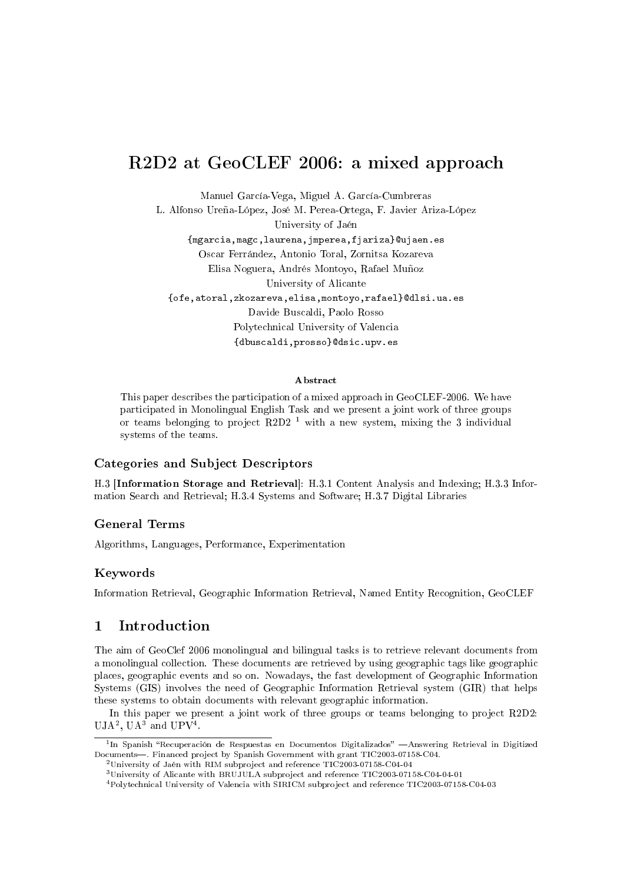# R2D2 at GeoCLEF 2006: a mixed approach

Manuel García-Vega, Miguel A. García-Cumbreras

L. Alfonso Ureña-López, José M. Perea-Ortega, F. Javier Ariza-López University of Jaén {mgarcia,magc,laurena,jmperea,fjariza}@ujaen.es Oscar Ferrández, Antonio Toral, Zornitsa Kozareva Elisa Noguera, Andrés Montoyo, Rafael Muñoz University of Alicante {ofe,atoral,zkozareva,elisa,montoyo,rafael}@dlsi.ua.es Davide Buscaldi, Paolo Rosso Polytechnical University of Valencia {dbuscaldi,prosso}@dsic.upv.es

#### Abstract

This paper describes the participation of a mixed approach in GeoCLEF-2006. We have participated in Monolingual English Task and we present a joint work of three groups or teams belonging to project R2D2<sup> $-1$ </sup> with a new system, mixing the 3 individual systems of the teams.

#### Categories and Subject Descriptors

H.3 [Information Storage and Retrieval]: H.3.1 Content Analysis and Indexing; H.3.3 Information Search and Retrieval; H.3.4 Systems and Software; H.3.7 Digital Libraries

#### General Terms

Algorithms, Languages, Performance, Experimentation

#### Keywords

Information Retrieval, Geographic Information Retrieval, Named Entity Recognition, GeoCLEF

### 1 Introduction

The aim of GeoClef 2006 monolingual and bilingual tasks is to retrieve relevant documents from a monolingual collection. These documents are retrieved by using geographic tags like geographic places, geographic events and so on. Nowadays, the fast development of Geographic Information Systems (GIS) involves the need of Geographic Information Retrieval system (GIR) that helps these systems to obtain documents with relevant geographic information.

In this paper we present a joint work of three groups or teams belonging to project R2D2:  $UJA<sup>2</sup>$ ,  $UA<sup>3</sup>$  and  $UPV<sup>4</sup>$ .

<sup>&</sup>lt;sup>1</sup>In Spanish "Recuperación de Respuestas en Documentos Digitalizados" —Answering Retrieval in Digitized Documents. Financed project by Spanish Government with grant TIC2003-07158-C04.

<sup>2</sup>University of Jaén with RIM subproject and reference TIC2003-07158-C04-04

<sup>3</sup>University of Alicante with BRUJULA subproject and reference TIC2003-07158-C04-04-01

<sup>4</sup>Polytechnical University of Valencia with SIRICM subproject and reference TIC2003-07158-C04-03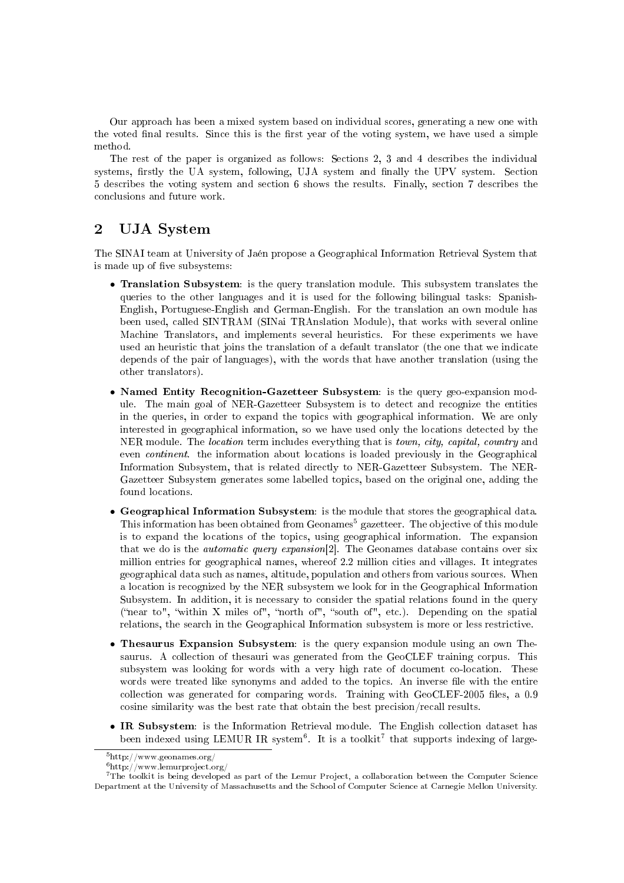Our approach has been a mixed system based on individual scores, generating a new one with the voted final results. Since this is the first year of the voting system, we have used a simple method.

The rest of the paper is organized as follows: Sections 2, 3 and 4 describes the individual systems, firstly the UA system, following, UJA system and finally the UPV system. Section 5 describes the voting system and section 6 shows the results. Finally, section 7 describes the conclusions and future work.

# 2 UJA System

The SINAI team at University of Jaén propose a Geographical Information Retrieval System that is made up of five subsystems:

- Translation Subsystem: is the query translation module. This subsystem translates the queries to the other languages and it is used for the following bilingual tasks: Spanish-English, Portuguese-English and German-English. For the translation an own module has been used, called SINTRAM (SINai TRAnslation Module), that works with several online Machine Translators, and implements several heuristics. For these experiments we have used an heuristic that joins the translation of a default translator (the one that we indicate depends of the pair of languages), with the words that have another translation (using the other translators).
- Named Entity Recognition-Gazetteer Subsystem: is the query geo-expansion module. The main goal of NER-Gazetteer Subsystem is to detect and recognize the entities in the queries, in order to expand the topics with geographical information. We are only interested in geographical information, so we have used only the locations detected by the NER module. The location term includes everything that is town, city, capital, country and even continent. the information about locations is loaded previously in the Geographical Information Subsystem, that is related directly to NER-Gazetteer Subsystem. The NER-Gazetteer Subsystem generates some labelled topics, based on the original one, adding the found locations.
- Geographical Information Subsystem: is the module that stores the geographical data. This information has been obtained from Geonames<sup>5</sup> gazetteer. The objective of this module is to expand the locations of the topics, using geographical information. The expansion that we do is the automatic query expansion[2]. The Geonames database contains over six million entries for geographical names, whereof 2.2 million cities and villages. It integrates geographical data such as names, altitude, population and others from various sources. When a location is recognized by the NER subsystem we look for in the Geographical Information Subsystem. In addition, it is necessary to consider the spatial relations found in the query ("near to", "within X miles of", "north of", "south of", etc.). Depending on the spatial relations, the search in the Geographical Information subsystem is more or less restrictive.
- Thesaurus Expansion Subsystem: is the query expansion module using an own Thesaurus. A collection of thesauri was generated from the GeoCLEF training corpus. This subsystem was looking for words with a very high rate of document co-location. These words were treated like synonyms and added to the topics. An inverse file with the entire collection was generated for comparing words. Training with GeoCLEF-2005 les, a 0.9 cosine similarity was the best rate that obtain the best precision/recall results.
- IR Subsystem: is the Information Retrieval module. The English collection dataset has been indexed using LEMUR IR system<sup>6</sup>. It is a toolkit<sup>7</sup> that supports indexing of large-

<sup>5</sup>http://www.geonames.org/

 $^6{\rm http://www.lemurproject.org/}$ 

<sup>7</sup>The toolkit is being developed as part of the Lemur Project, a collaboration between the Computer Science Department at the University of Massachusetts and the School of Computer Science at Carnegie Mellon University.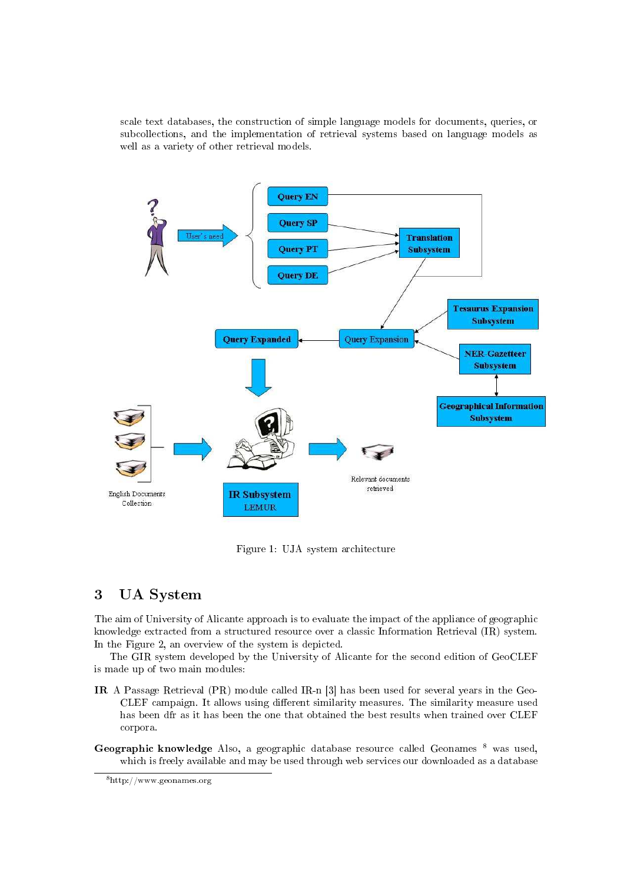scale text databases, the construction of simple language models for documents, queries, or subcollections, and the implementation of retrieval systems based on language models as well as a variety of other retrieval models.



Figure 1: UJA system architecture

# 3 UA System

The aim of University of Alicante approach is to evaluate the impact of the appliance of geographic knowledge extracted from a structured resource over a classic Information Retrieval (IR) system. In the Figure 2, an overview of the system is depicted.

The GIR system developed by the University of Alicante for the second edition of GeoCLEF is made up of two main modules:

- IR A Passage Retrieval (PR) module called IR-n [3] has been used for several years in the Geo-CLEF campaign. It allows using different similarity measures. The similarity measure used has been dfr as it has been the one that obtained the best results when trained over CLEF corpora.
- Geographic knowledge Also, a geographic database resource called Geonames  $8$  was used, which is freely available and may be used through web services our downloaded as a database

<sup>8</sup>http://www.geonames.org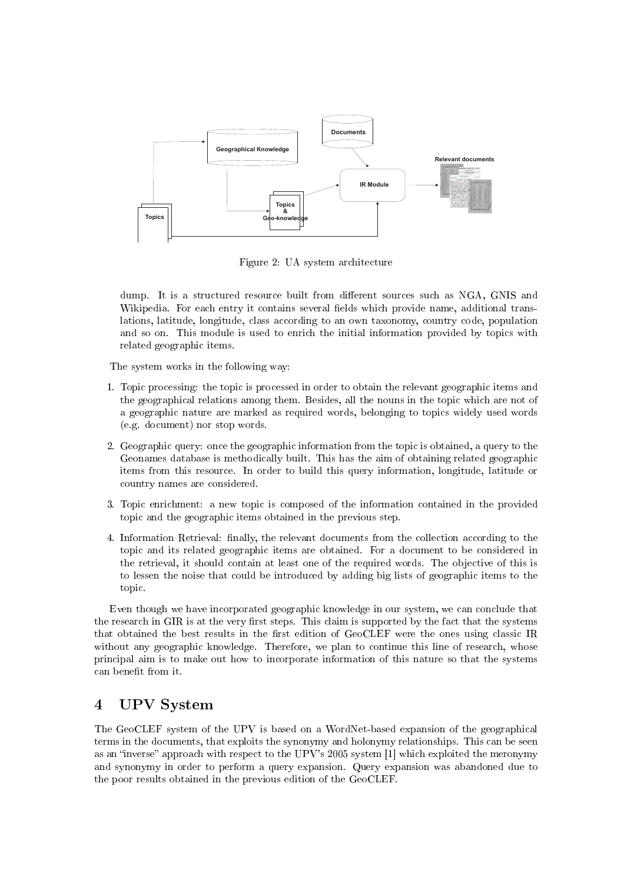

Figure 2: UA system architecture

dump. It is a structured resource built from different sources such as NGA, GNIS and Wikipedia. For each entry it contains several fields which provide name, additional translations, latitude, longitude, class according to an own taxonomy, country code, population and so on. This module is used to enrich the initial information provided by topics with related geographic items.

The system works in the following way:

- 1. Topic processing: the topic is processed in order to obtain the relevant geographic items and the geographical relations among them. Besides, all the nouns in the topic which are not of a geographic nature are marked as required words, belonging to topics widely used words (e.g. document) nor stop words.
- 2. Geographic query: once the geographic information from the topic is obtained, a query to the Geonames database is methodically built. This has the aim of obtaining related geographic items from this resource. In order to build this query information, longitude, latitude or country names are considered.
- 3. Topic enrichment: a new topic is composed of the information contained in the provided topic and the geographic items obtained in the previous step.
- 4. Information Retrieval: nally, the relevant documents from the collection according to the topic and its related geographic items are obtained. For a document to be considered in the retrieval, it should contain at least one of the required words. The objective of this is to lessen the noise that could be introduced by adding big lists of geographic items to the topic.

Even though we have incorporated geographic knowledge in our system, we can conclude that the research in GIR is at the very first steps. This claim is supported by the fact that the systems that obtained the best results in the first edition of GeoCLEF were the ones using classic IR without any geographic knowledge. Therefore, we plan to continue this line of research, whose principal aim is to make out how to incorporate information of this nature so that the systems can benefit from it.

### 4 UPV System

The GeoCLEF system of the UPV is based on a WordNet-based expansion of the geographical terms in the documents, that exploits the synonymy and holonymy relationships. This can be seen as an "inverse" approach with respect to the UPV's 2005 system [1] which exploited the meronymy and synonymy in order to perform a query expansion. Query expansion was abandoned due to the poor results obtained in the previous edition of the GeoCLEF.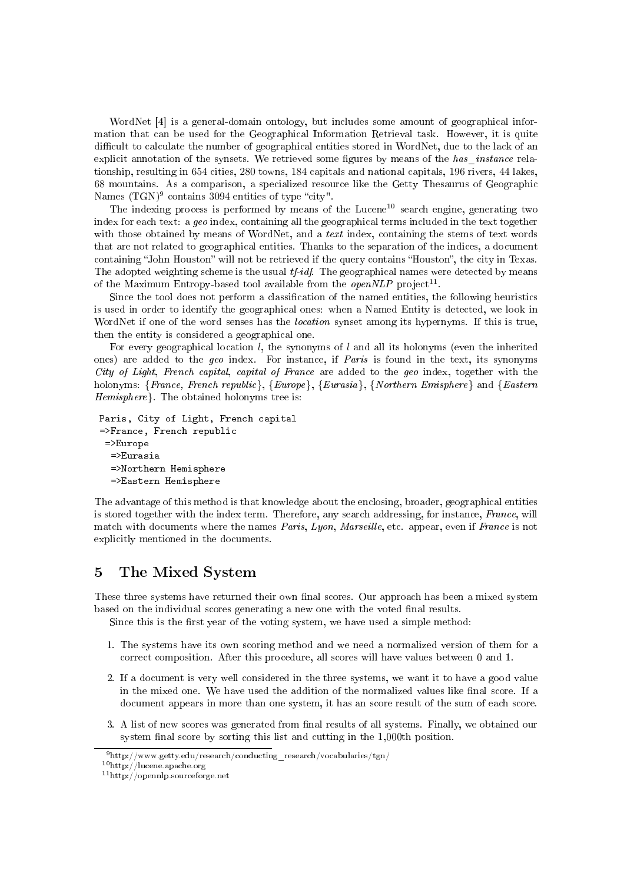WordNet [4] is a general-domain ontology, but includes some amount of geographical information that can be used for the Geographical Information Retrieval task. However, it is quite difficult to calculate the number of geographical entities stored in WordNet, due to the lack of an explicit annotation of the synsets. We retrieved some figures by means of the has instance relationship, resulting in 654 cities, 280 towns, 184 capitals and national capitals, 196 rivers, 44 lakes, 68 mountains. As a comparison, a specialized resource like the Getty Thesaurus of Geographic Names  $(TGN)^9$  contains 3094 entities of type "city".

The indexing process is performed by means of the Lucene<sup>10</sup> search engine, generating two index for each text: a  $\eta e_0$  index, containing all the geographical terms included in the text together with those obtained by means of WordNet, and a *text* index, containing the stems of text words that are not related to geographical entities. Thanks to the separation of the indices, a document containing "John Houston" will not be retrieved if the query contains "Houston", the city in Texas. The adopted weighting scheme is the usual  $tf-idf$ . The geographical names were detected by means of the Maximum Entropy-based tool available from the  $openNLP$  project<sup>11</sup>.

Since the tool does not perform a classification of the named entities, the following heuristics is used in order to identify the geographical ones: when a Named Entity is detected, we look in WordNet if one of the word senses has the *location* synset among its hypernyms. If this is true, then the entity is considered a geographical one.

For every geographical location l, the synonyms of l and all its holonyms (even the inherited ones) are added to the geo index. For instance, if Paris is found in the text, its synonyms City of Light, French capital, capital of France are added to the geo index, together with the holonyms: {France, French republic}, {Europe}, {Eurasia}, {Northern Emisphere} and {Eastern Hemisphere}. The obtained holonyms tree is:

```
Paris, City of Light, French capital
=>France, French republic
 =>Europe
  =>Eurasia
  =>Northern Hemisphere
  =>Eastern Hemisphere
```
The advantage of this method is that knowledge about the enclosing, broader, geographical entities is stored together with the index term. Therefore, any search addressing, for instance, France, will match with documents where the names *Paris, Lyon, Marseille*, etc. appear, even if *France* is not explicitly mentioned in the documents.

### 5 The Mixed System

These three systems have returned their own final scores. Our approach has been a mixed system based on the individual scores generating a new one with the voted final results.

Since this is the first year of the voting system, we have used a simple method:

- 1. The systems have its own scoring method and we need a normalized version of them for a correct composition. After this procedure, all scores will have values between 0 and 1.
- 2. If a document is very well considered in the three systems, we want it to have a good value in the mixed one. We have used the addition of the normalized values like final score. If a document appears in more than one system, it has an score result of the sum of each score.
- 3. A list of new scores was generated from final results of all systems. Finally, we obtained our system final score by sorting this list and cutting in the 1,000th position.

<sup>9</sup>http://www.getty.edu/research/conducting\_research/vocabularies/tgn/

<sup>10</sup>http://lucene.apache.org

<sup>11</sup>http://opennlp.sourceforge.net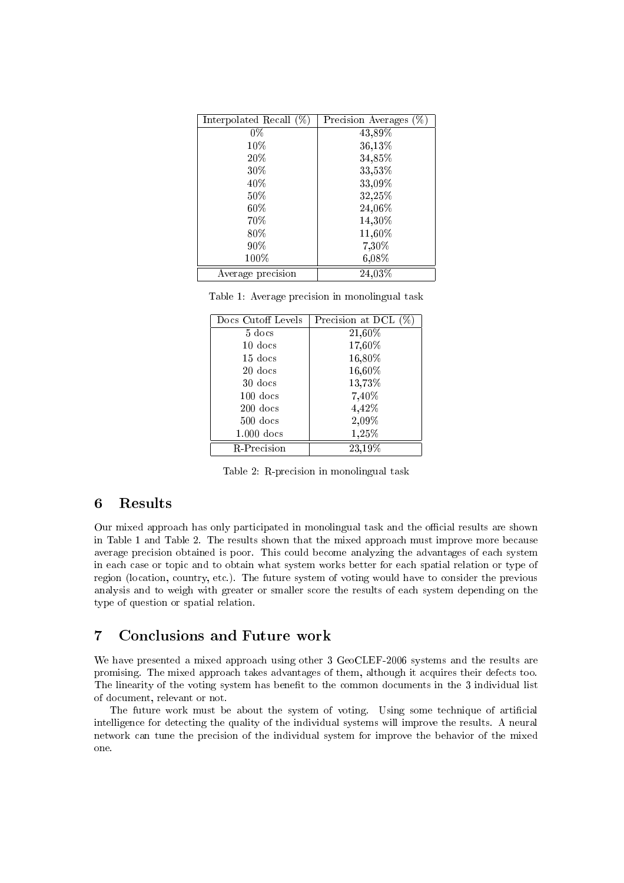| Interpolated Recall $(\%)$ | Precision Averages (%) |
|----------------------------|------------------------|
| $\overline{0}\%$           | 43,89%                 |
| 10%                        | 36,13%                 |
| 20%                        | 34,85%                 |
| 30%                        | 33,53%                 |
| 40%                        | 33,09%                 |
| $50\%$                     | 32,25%                 |
| $60\%$                     | 24,06%                 |
| 70%                        | 14,30%                 |
| 80%                        | 11,60%                 |
| $90\%$                     | 7,30%                  |
| 100%                       | 6,08%                  |
| Average precision          | 24,03%                 |

|  |  | Table 1: Average precision in monolingual task |  |
|--|--|------------------------------------------------|--|
|  |  |                                                |  |

| Docs Cutoff Levels | Precision at DCL (% |
|--------------------|---------------------|
| $5$ docs           | 21,60%              |
| $10$ docs          | 17,60%              |
| $15$ docs          | 16,80%              |
| $20$ docs          | 16,60%              |
| 30 docs            | 13,73%              |
| $100$ docs         | 7,40%               |
| $200$ docs         | 4,42%               |
| $500$ docs         | 2,09%               |
| $1.000$ docs       | 1,25%               |
| R-Precision        | 23,19%              |

Table 2: R-precision in monolingual task

#### 6 Results

Our mixed approach has only participated in monolingual task and the official results are shown in Table 1 and Table 2. The results shown that the mixed approach must improve more because average precision obtained is poor. This could become analyzing the advantages of each system in each case or topic and to obtain what system works better for each spatial relation or type of region (location, country, etc.). The future system of voting would have to consider the previous analysis and to weigh with greater or smaller score the results of each system depending on the type of question or spatial relation.

### 7 Conclusions and Future work

We have presented a mixed approach using other 3 GeoCLEF-2006 systems and the results are promising. The mixed approach takes advantages of them, although it acquires their defects too. The linearity of the voting system has benefit to the common documents in the 3 individual list of document, relevant or not.

The future work must be about the system of voting. Using some technique of articial intelligence for detecting the quality of the individual systems will improve the results. A neural network can tune the precision of the individual system for improve the behavior of the mixed one.